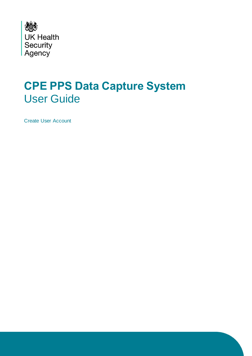

## **CPE PPS Data Capture System** User Guide

Create User Account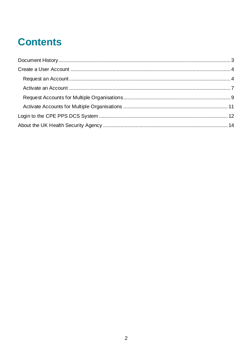# **Contents**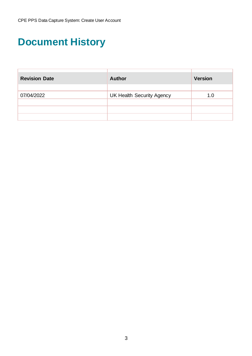## <span id="page-2-0"></span>**Document History**

| <b>Revision Date</b> | <b>Author</b>                    | <b>Version</b> |
|----------------------|----------------------------------|----------------|
|                      |                                  |                |
| 07/04/2022           | <b>UK Health Security Agency</b> | 1.0            |
|                      |                                  |                |
|                      |                                  |                |
|                      |                                  |                |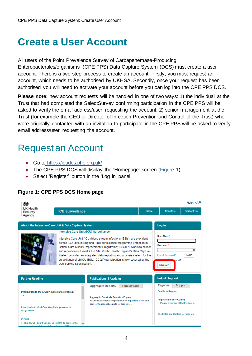## <span id="page-3-0"></span>**Create a User Account**

All users of the Point Prevalence Survey of Carbapenemase-Producing Enterobacterales/organisms (CPE PPS) Data Capture System (DCS) must create a user account. There is a two-step process to create an account. Firstly, you must request an account, which needs to be authorised by UKHSA. Secondly, once your request has been authorised you will need to activate your account before you can log into the CPE PPS DCS.

**Please note:** new account requests will be handled in one of two ways: 1) the individual at the Trust that had completed the SelectSurvey confirming participation in the CPE PPS will be asked to verify the email address/user requesting the account; 2) senior management at the Trust (for example the CEO or Director of Infection Prevention and Control of the Trust) who were originally contacted with an invitation to participate in the CPE PPS will be asked to verify email address/user requesting the account.

### <span id="page-3-1"></span>Request an Account

- Go to <https://icudcs.phe.org.uk/>
- The CPE PPS DCS will display the 'Homepage' screen [\(Figure 1\)](#page-3-2)
- Select 'Register' button in the 'Log in' panel

#### <span id="page-3-2"></span>**Figure 1: CPE PPS DCS Home page**

| 嫐                                                                                                                                                                                          |                                                                      |                                                                                                                                                                                                                                                                                                                                                                                                                                                                |             |                                                                                                                       | Help   AAA        |
|--------------------------------------------------------------------------------------------------------------------------------------------------------------------------------------------|----------------------------------------------------------------------|----------------------------------------------------------------------------------------------------------------------------------------------------------------------------------------------------------------------------------------------------------------------------------------------------------------------------------------------------------------------------------------------------------------------------------------------------------------|-------------|-----------------------------------------------------------------------------------------------------------------------|-------------------|
| <b>UK Health</b><br>Security<br>Agency                                                                                                                                                     | <b>ICU Surveillance</b>                                              |                                                                                                                                                                                                                                                                                                                                                                                                                                                                | <b>Home</b> | <b>About Us</b>                                                                                                       | <b>Contact Us</b> |
|                                                                                                                                                                                            |                                                                      |                                                                                                                                                                                                                                                                                                                                                                                                                                                                |             |                                                                                                                       |                   |
| About the Intensive Care Unit & Data Capture System                                                                                                                                        |                                                                      |                                                                                                                                                                                                                                                                                                                                                                                                                                                                |             | Log in                                                                                                                |                   |
|                                                                                                                                                                                            | Intensive Care Unit (ICU) Surveillance<br>D05 Service Specification. | Intensive Care Unit (ICU) blood stream infections (BSIs), are prevalent<br>across ICU units in England. This surveillance programme (Infection in<br>Critical Care Quality Improvement Programme; ICCQIP), works to collect<br>and report on unit level ICU-BSIs. Public Health England's Data Capture<br>System provides an integrated data reporting and analysis system for the<br>surveillance of all ICU-BSIs. ICCQIP participation is now covered by the |             | User Name*<br>Password*<br><b>Forgot Password?</b><br>sount?<br>Register                                              | Login             |
| <b>Further Reading</b>                                                                                                                                                                     |                                                                      | <b>Publications &amp; Updates</b>                                                                                                                                                                                                                                                                                                                                                                                                                              |             | <b>Help &amp; Support</b>                                                                                             |                   |
| Introduction to the ICCQIP surveillance program<br>55                                                                                                                                      |                                                                      | <b>Publications</b><br><b>Aggregate Reports</b><br><b>Aggregate Quarterly Reports - England</b><br>>>Unit level reports are produced on a quarterly basis and                                                                                                                                                                                                                                                                                                  |             | <b>Register</b><br><b>Details to Register</b><br><b>Registration User Guides</b><br>>>Please email the ICCQIP inbox < | <b>Support</b>    |
| <b>Infection In Critical Care Quality Improvement</b><br>Programme<br><b>ICCQIP</b><br>>>The ICCQIP board was set up in 2016 to address the<br>the first control of the state of the state |                                                                      | sent to the respective units for their info                                                                                                                                                                                                                                                                                                                                                                                                                    |             | See FAOs and Content for more info                                                                                    |                   |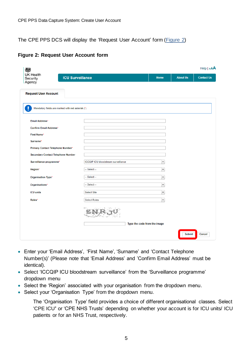The CPE PPS DCS will display the 'Request User Account' form [\(Figure 2\)](#page-4-0)

#### <span id="page-4-0"></span>**Figure 2: Request User Account form**

| 戀                                                                 |                                            |                              |                 | Help   AAA        |
|-------------------------------------------------------------------|--------------------------------------------|------------------------------|-----------------|-------------------|
| <b>UK Health</b><br><b>ICU Surveillance</b><br>Security<br>Agency |                                            | <b>Home</b>                  | <b>About Us</b> | <b>Contact Us</b> |
| <b>Request User Account</b>                                       |                                            |                              |                 |                   |
| u<br>Mandatory fields are marked with red asterisk (*)            |                                            |                              |                 |                   |
| <b>Email Address*</b>                                             |                                            |                              |                 |                   |
| <b>Confirm Email Address*</b>                                     |                                            |                              |                 |                   |
| <b>First Name*</b>                                                |                                            |                              |                 |                   |
| Surname*                                                          |                                            |                              |                 |                   |
| Primary Contact Telephone Number*                                 |                                            |                              |                 |                   |
| <b>Secondary Contact Telephone Number</b>                         |                                            |                              |                 |                   |
| Surveillance programme*                                           | <b>ICCQIP ICU bloodstream surveillance</b> | $\blacktriangledown$         |                 |                   |
| Region*                                                           | $-$ Select $-$                             | $\blacktriangledown$         |                 |                   |
| <b>Organisation Type*</b>                                         | -- Select --                               | $\blacktriangledown$         |                 |                   |
| Organisations*                                                    | -- Select --                               | $\blacktriangledown$         |                 |                   |
| <b>ICU units</b>                                                  | <b>Select Site</b>                         | $\blacktriangledown$         |                 |                   |
| Roles*                                                            | Select Roles                               | $\blacktriangledown$         |                 |                   |
|                                                                   |                                            | Type the code from the image |                 |                   |
|                                                                   |                                            |                              | <b>Submit</b>   | Cancel            |

- Enter your 'Email Address', 'First Name', 'Surname' and 'Contact Telephone Number(s)' (Please note that 'Email Address' and 'Confirm Email Address' must be identical).
- Select 'ICCQIP ICU bloodstream surveillance' from the 'Surveillance programme' dropdown menu
- Select the 'Region' associated with your organisation from the dropdown menu.
- Select your 'Organisation Type' from the dropdown menu.

The 'Organisation Type' field provides a choice of different organisational classes. Select 'CPE ICU**'** or 'CPE NHS Trusts' depending on whether your account is for ICU units/ ICU patients or for an NHS Trust, respectively.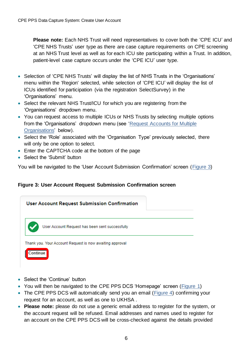**Please note:** Each NHS Trust will need representatives to cover both the 'CPE ICU' and 'CPE NHS Trusts' user type as there are case capture requirements on CPE screening at an NHS Trust level as well as for each ICU site participating within a Trust. In addition, patient-level case capture occurs under the 'CPE ICU' user type.

- Selection of 'CPE NHS Trusts' will display the list of NHS Trusts in the 'Organisations' menu within the 'Region' selected, while selection of 'CPE ICU' will display the list of ICUs identified for participation (via the registration SelectSurvey) in the 'Organisations' menu.
- Select the relevant NHS Trust/ICU for which you are registering from the 'Organisations' dropdown menu.
- You can request access to multiple ICUs or NHS Trusts by selecting multiple options from the 'Organisations' dropdown menu (see ['Request Accounts for Multiple](#page-8-0)  [Organisations'](#page-8-0) below).
- Select the 'Role' associated with the 'Organisation Type' previously selected, there will only be one option to select.
- Enter the CAPTCHA code at the bottom of the page
- Select the 'Submit' button

You will be navigated to the 'User Account Submission Confirmation' screen [\(Figure 3\)](#page-5-0)

#### <span id="page-5-0"></span>**Figure 3: User Account Request Submission Confirmation screen**



- Select the 'Continue' button
- You will then be navigated to the CPE PPS DCS 'Homepage' screen [\(Figure 1\)](#page-3-2)
- The CPE PPS DCS will automatically send you an email (*Figure 4*) confirming your request for an account, as well as one to UKHSA .
- **Please note:** please do not use a generic email address to register for the system, or the account request will be refused. Email addresses and names used to register for an account on the CPE PPS DCS will be cross-checked against the details provided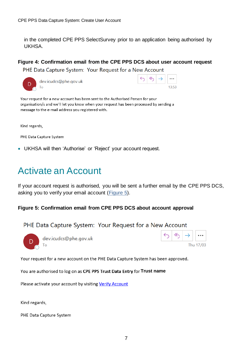in the completed CPE PPS SelectSurvey prior to an application being authorised by UKHSA.

#### <span id="page-6-1"></span>**Figure 4: Confirmation email from the CPE PPS DCS about user account request**

PHE Data Capture System: Your Request for a New Account

| dev.ic |
|--------|
| Гο     |

cudcs@phe.aov.uk

|  |  | $\cdots$   |
|--|--|------------|
|  |  | : 5 -<br>٦ |

Your request for a new account has been sent to the Authorised Person for your organisation/s and we'll let you know when your request has been processed by sending a message to the e-mail address you registered with.

Kind regards,

PHE Data Capture System

• UKHSA will then 'Authorise' or 'Reject' your account request.

### <span id="page-6-0"></span>Activate an Account

If your account request is authorised, you will be sent a further email by the CPE PPS DCS, asking you to verify your email account [\(Figure 5\)](#page-6-2).

#### <span id="page-6-2"></span>**Figure 5: Confirmation email from CPE PPS DCS about account approval**

#### PHE Data Capture System: Your Request for a New Account



dev.icudcs@phe.gov.uk Tο



Your request for a new account on the PHE Data Capture System has been approved.

You are authorised to log on as CPE PPS Trust Data Entry for Trust name

Please activate your account by visiting Verify Account

Kind regards,

PHE Data Capture System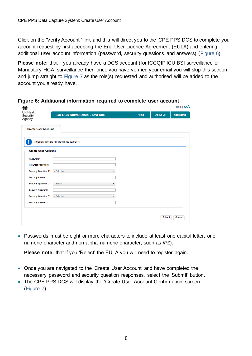Click on the 'Verify Account ' link and this will direct you to the CPE PPS DCS to complete your account request by first accepting the End-User Licence Agreement (EULA) and entering additional user account information (password, security questions and answers) [\(Figure 6\)](#page-7-0).

**Please note:** that if you already have a DCS account (for ICCQIP ICU BSI surveillance or Mandatory HCAI surveillance then once you have verified your email you will skip this section and jump straight to [Figure 7](#page-7-1) as the role(s) requested and authorised will be added to the account you already have.

| <b>UK Health</b><br>Security<br>Agency | <b>ICU DCS Surveillance - Test Site</b>           | Home | <b>About Us</b> | <b>Contact Us</b> |
|----------------------------------------|---------------------------------------------------|------|-----------------|-------------------|
| <b>Create User Account</b>             |                                                   |      |                 |                   |
|                                        | Mandatory fields are marked with red asterisk (*) |      |                 |                   |
| <b>Create User Account</b>             |                                                   |      |                 |                   |
| Password*                              |                                                   |      |                 |                   |
| Re-Enter Password*                     |                                                   |      |                 |                   |
| <b>Security Question 1*</b>            | $-$ Select $-$                                    |      |                 |                   |
| Security Answer 1*                     |                                                   |      |                 |                   |
| <b>Security Question 2*</b>            | $-$ Select $-$<br>$\checkmark$                    |      |                 |                   |
| <b>Security Answer 2*</b>              |                                                   |      |                 |                   |
| <b>Security Question 3*</b>            | $-$ Select $-$<br>$\checkmark$                    |      |                 |                   |
| Security Answer 3*                     |                                                   |      |                 |                   |
|                                        |                                                   |      |                 |                   |
|                                        |                                                   |      | <b>Submit</b>   | Cancel            |
|                                        |                                                   |      |                 |                   |

<span id="page-7-0"></span>**Figure 6: Additional information required to complete user account**

• Passwords must be eight or more characters to include at least one capital letter, one numeric character and non-alpha numeric character, such as #\*£).

**Please note:** that if you 'Reject' the EULA you will need to register again.

- Once you are navigated to the 'Create User Account' and have completed the necessary password and security question responses, select the 'Submit' button.
- <span id="page-7-1"></span>• The CPE PPS DCS will display the 'Create User Account Confirmation' screen [\(Figure 7\)](#page-7-1).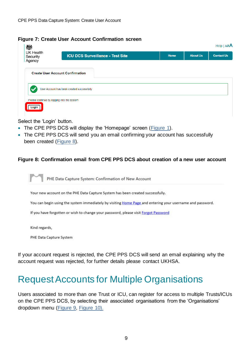#### **Figure 7: Create User Account Confirmation screen**

| <b>UK Health</b><br>Security | <b>ICU DCS Surveillance - Test Site</b>    | Home | <b>About Us</b> | <b>Contact Us</b> |
|------------------------------|--------------------------------------------|------|-----------------|-------------------|
| Agency                       |                                            |      |                 |                   |
|                              | <b>Create User Account Confirmation</b>    |      |                 |                   |
|                              |                                            |      |                 |                   |
|                              | User Account has been created successfully |      |                 |                   |

Select the 'Login' button.

- The CPE PPS DCS will display the 'Homepage' screen [\(Figure 1\)](#page-3-2).
- The CPE PPS DCS will send you an email confirming your account has successfully been created [\(Figure 8\)](#page-8-1).

#### <span id="page-8-1"></span>**Figure 8: Confirmation email from CPE PPS DCS about creation of a new user account**

PHE Data Capture System: Confirmation of New Account

Your new account on the PHE Data Capture System has been created successfully.

You can begin using the system immediately by visiting Home Page and entering your username and password.

If you have forgotten or wish to change your password, please visit Forgot Password

Kind regards,

PHE Data Capture System

If your account request is rejected, the CPE PPS DCS will send an email explaining why the account request was rejected, for further details please contact UKHSA.

### <span id="page-8-0"></span>Request Accounts for Multiple Organisations

<span id="page-8-2"></span>Users associated to more than one Trust or ICU, can register for access to multiple Trusts/ICUs on the CPE PPS DCS, by selecting their associated organisations from the 'Organisations' dropdown menu [\(Figure 9,](#page-8-2) [Figure 10\).](#page-10-1)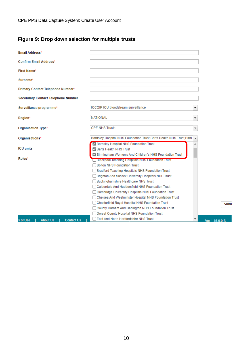#### **Figure 9: Drop down selection for multiple trusts**

| <b>Email Address*</b>                             |                                                                                                                                                                                                                                                                                                                                                                                                                                                                                                                                                                                        |   |                |
|---------------------------------------------------|----------------------------------------------------------------------------------------------------------------------------------------------------------------------------------------------------------------------------------------------------------------------------------------------------------------------------------------------------------------------------------------------------------------------------------------------------------------------------------------------------------------------------------------------------------------------------------------|---|----------------|
| <b>Confirm Email Address*</b>                     |                                                                                                                                                                                                                                                                                                                                                                                                                                                                                                                                                                                        |   |                |
| First Name*                                       |                                                                                                                                                                                                                                                                                                                                                                                                                                                                                                                                                                                        |   |                |
| Surname*                                          |                                                                                                                                                                                                                                                                                                                                                                                                                                                                                                                                                                                        |   |                |
| Primary Contact Telephone Number*                 |                                                                                                                                                                                                                                                                                                                                                                                                                                                                                                                                                                                        |   |                |
| <b>Secondary Contact Telephone Number</b>         |                                                                                                                                                                                                                                                                                                                                                                                                                                                                                                                                                                                        |   |                |
| Surveillance programme*                           | <b>ICCQIP ICU bloodstream surveillance</b>                                                                                                                                                                                                                                                                                                                                                                                                                                                                                                                                             | ▼ |                |
| Region*                                           | <b>NATIONAL</b>                                                                                                                                                                                                                                                                                                                                                                                                                                                                                                                                                                        | ۰ |                |
| Organisation Type*                                | <b>CPE NHS Trusts</b>                                                                                                                                                                                                                                                                                                                                                                                                                                                                                                                                                                  | ▼ |                |
| Organisations*                                    | Barnsley Hospital NHS Foundation Trust, Barts Health NHS Trust, Birm                                                                                                                                                                                                                                                                                                                                                                                                                                                                                                                   |   |                |
| <b>ICU</b> units                                  | De Barnsley Hospital NHS Foundation Trust<br>Barts Health NHS Trust                                                                                                                                                                                                                                                                                                                                                                                                                                                                                                                    |   |                |
| Roles*                                            | ✓ Birmingham Women's And Children's NHS Foundation Trust<br>  Blackpool Teaching Hospitals NHS Foundation Trust<br>□ Bolton NHS Foundation Trust<br>Bradford Teaching Hospitals NHS Foundation Trust<br><b>Brighton And Sussex University Hospitals NHS Trust</b><br>Buckinghamshire Healthcare NHS Trust<br>Calderdale And Huddersfield NHS Foundation Trust<br>Cambridge University Hospitals NHS Foundation Trust<br>Chelsea And Westminster Hospital NHS Foundation Trust<br>Chesterfield Royal Hospital NHS Foundation Trust<br>County Durham And Darlington NHS Foundation Trust |   | Subn           |
| <b>Contact Us</b><br>is of Use<br><b>About Us</b> | Dorset County Hospital NHS Foundation Trust<br>East And North Hertfordshire NHS Trust                                                                                                                                                                                                                                                                                                                                                                                                                                                                                                  | ▼ | Ver 1.15.0.0.B |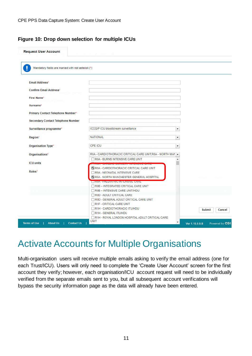#### <span id="page-10-1"></span>**Figure 10: Drop down selection for multiple ICUs**

| Mandatory fields are marked with red asterisk (*) |                                                                                                                           |                          |                         |
|---------------------------------------------------|---------------------------------------------------------------------------------------------------------------------------|--------------------------|-------------------------|
|                                                   |                                                                                                                           |                          |                         |
| <b>Email Address*</b>                             |                                                                                                                           |                          |                         |
| <b>Confirm Email Address*</b>                     |                                                                                                                           |                          |                         |
| <b>First Name*</b>                                |                                                                                                                           |                          |                         |
| Surname*                                          |                                                                                                                           |                          |                         |
| Primary Contact Telephone Number*                 |                                                                                                                           |                          |                         |
| <b>Secondary Contact Telephone Number</b>         |                                                                                                                           |                          |                         |
| Surveillance programme*                           | <b>ICCQIP ICU bloodstream surveillance</b>                                                                                | $\blacktriangledown$     |                         |
|                                                   |                                                                                                                           |                          |                         |
| Region*                                           | <b>NATIONAL</b>                                                                                                           | $\overline{\phantom{a}}$ |                         |
| Organisation Type*                                | <b>CPE ICU</b>                                                                                                            | ▼                        |                         |
| Organisations*                                    | R0A - CARDIOTHORACIC CRITICAL CARE UNIT, R0A - NORTH MAN $\blacktriangledown$                                             |                          |                         |
| <b>ICU</b> units                                  | R0A - BURNS INTENSIVE CARE UNIT<br>.<br>2008 - Party Law Personal Party and Personal Property and Personal Property and P | ዹ                        |                         |
| Roles*                                            | <b>Z R0A - CARDIOTHORACIC CRITICAL CARE UNIT</b>                                                                          |                          |                         |
|                                                   | R0A - NEONATAL INTENSIVE CARE<br>V R0A - NORTH MANCHESTER GENERAL HOSPITAL                                                |                          |                         |
|                                                   | <b>TRUA - PAEDIATRIC INTENSIVE CARE</b>                                                                                   |                          |                         |
|                                                   | R0B - INTEGRATED CRITICAL CARE UNIT<br>R0B - INTENSIVE CARE UNIT/HDU                                                      |                          |                         |
|                                                   | ROD - ADULT CRITICAL CARE                                                                                                 |                          |                         |
|                                                   | ROD - GENERAL ADULT CRITICAL CARE UNIT                                                                                    |                          |                         |
|                                                   | R1F - CRITICAL CARE UNIT                                                                                                  |                          |                         |
|                                                   | R1H - CARDIOTHORACIC ITU/HDU                                                                                              |                          | <b>Submit</b><br>Cancel |

### <span id="page-10-0"></span>Activate Accounts for Multiple Organisations

Multi-organisation users will receive multiple emails asking to verify the email address (one for each Trust/ICU). Users will only need to complete the 'Create User Account' screen for the first account they verify; however, each organisation/ICU account request will need to be individually verified from the separate emails sent to you, but all subsequent account verifications will bypass the security information page as the data will already have been entered.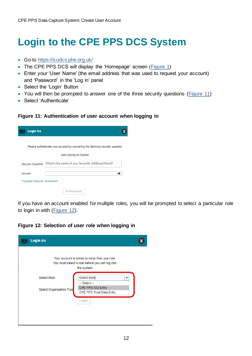## <span id="page-11-0"></span>**Login to the CPE PPS DCS System**

- Go to<https://icudcs.phe.org.uk/>
- The CPE PPS DCS will display the 'Homepage' screen [\(Figure 1\)](#page-3-2)
- Enter your 'User Name' (the email address that was used to request your account) and 'Password' in the 'Log in' panel
- Select the 'Login' Button
- You will then be prompted to answer one of the three security questions [\(Figure 11\)](#page-11-1)
- Select 'Authenticate'

#### <span id="page-11-1"></span>**Figure 11: Authentication of user account when logging in**

| Login As                             |                                                                               |
|--------------------------------------|-------------------------------------------------------------------------------|
|                                      | Please authenticate your account by answering the following security question |
|                                      | and clicking on Submit                                                        |
| <b>Security Question</b>             | What is the name of your favourite childhood friend?                          |
| Answer*                              |                                                                               |
| <b>Forgotten Security Questions?</b> |                                                                               |
|                                      | <b>Authenticate</b>                                                           |

If you have an account enabled for multiple roles, you will be prompted to select a particular role to login in with [\(Figure 12\)](#page-11-2).

<span id="page-11-2"></span>**Figure 12: Selection of user role when logging in**

|                          | Your account is linked to more than one role.  |   |
|--------------------------|------------------------------------------------|---|
|                          | You must select a role before you can log into |   |
|                          | the system                                     |   |
| <b>Select Role</b>       | Select Role                                    | ۰ |
|                          | $-$ Select $-$                                 |   |
|                          | CPE PPS ICU Entry                              |   |
|                          |                                                |   |
|                          | Login                                          |   |
| Select Organisation Type | CPE PPS Trust Data Entry                       |   |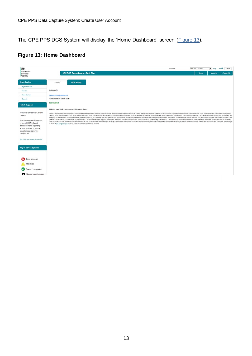The CPE PPS DCS System will display the 'Home Dashboard' screen [\(Figure 13\)](#page-12-0).

### <span id="page-12-0"></span>**Figure 13: Home Dashboard**

| UK Health<br><b>ICU DCS Surveillance - Test Site</b><br><b>Home</b><br><b>About Us</b><br><b>Contact Us</b><br><b>Data Quality</b><br>Home<br>My Dashboard<br>Welcome ICU<br>Search<br><b>Case Capture</b><br>System Announcements ICU<br>ICU Surveillance System (DCS)<br>Reports<br><b>TEST SYSTEM</b><br>CPE PPS Study 2022 - information on PPS and enrolment<br>United Kingdom Health Security Agency (UKHSA) Healthcare Associated Infections and Antimicrobial Resistance department (UKHSA HCAI & AMR) are planning a point prevalence survey (PPS) into carbapenemase-producing Enterobact<br>capacity, in the first two weeks of April 2022. We will select NHS Trusts from across England at random and invite them to participate in one or several ape categories of intensive care; adults, paediatrics, and neonates.<br>be eligible. If selected, each Trust will be asked to randomly sample up to 20 patients from their intensive care units, who are inportents on a single day (chosen by the Trust) within the two-week study period. Trusts wit<br>CPE PPS will enable UKHSA to estimate the prevalence of CPE in intensive care in England, across adult, paediatric, and neonatal populations. It will also allow us to identify key risk factors for CPE colonisation and infe<br>week or two if your Trust is randomly selected to participate. We will send further information and the study protocol then. Participation is voluntary but we would be grateful of your support in this important study. If y<br>in touch at coe pos@phe.gov.uk we are happy for additional Trusts to be involved.<br>Error on page<br>Attention<br>Saved / completed<br>Close screen / popout | 鬱                                                                                                                                                                                                                                                                      |  |  |  | Welcome | CPE PPS ICU Entry | - Help   AAA   Logout |
|-------------------------------------------------------------------------------------------------------------------------------------------------------------------------------------------------------------------------------------------------------------------------------------------------------------------------------------------------------------------------------------------------------------------------------------------------------------------------------------------------------------------------------------------------------------------------------------------------------------------------------------------------------------------------------------------------------------------------------------------------------------------------------------------------------------------------------------------------------------------------------------------------------------------------------------------------------------------------------------------------------------------------------------------------------------------------------------------------------------------------------------------------------------------------------------------------------------------------------------------------------------------------------------------------------------------------------------------------------------------------------------------------------------------------------------------------------------------------------------------------------------------------------------------------------------------------------------------------------------------------------------------------------------------------------------------------------------|------------------------------------------------------------------------------------------------------------------------------------------------------------------------------------------------------------------------------------------------------------------------|--|--|--|---------|-------------------|-----------------------|
|                                                                                                                                                                                                                                                                                                                                                                                                                                                                                                                                                                                                                                                                                                                                                                                                                                                                                                                                                                                                                                                                                                                                                                                                                                                                                                                                                                                                                                                                                                                                                                                                                                                                                                             | Security<br>Agency                                                                                                                                                                                                                                                     |  |  |  |         |                   |                       |
|                                                                                                                                                                                                                                                                                                                                                                                                                                                                                                                                                                                                                                                                                                                                                                                                                                                                                                                                                                                                                                                                                                                                                                                                                                                                                                                                                                                                                                                                                                                                                                                                                                                                                                             | <b>Menu Toolbar</b>                                                                                                                                                                                                                                                    |  |  |  |         |                   |                       |
|                                                                                                                                                                                                                                                                                                                                                                                                                                                                                                                                                                                                                                                                                                                                                                                                                                                                                                                                                                                                                                                                                                                                                                                                                                                                                                                                                                                                                                                                                                                                                                                                                                                                                                             |                                                                                                                                                                                                                                                                        |  |  |  |         |                   |                       |
|                                                                                                                                                                                                                                                                                                                                                                                                                                                                                                                                                                                                                                                                                                                                                                                                                                                                                                                                                                                                                                                                                                                                                                                                                                                                                                                                                                                                                                                                                                                                                                                                                                                                                                             |                                                                                                                                                                                                                                                                        |  |  |  |         |                   |                       |
|                                                                                                                                                                                                                                                                                                                                                                                                                                                                                                                                                                                                                                                                                                                                                                                                                                                                                                                                                                                                                                                                                                                                                                                                                                                                                                                                                                                                                                                                                                                                                                                                                                                                                                             |                                                                                                                                                                                                                                                                        |  |  |  |         |                   |                       |
|                                                                                                                                                                                                                                                                                                                                                                                                                                                                                                                                                                                                                                                                                                                                                                                                                                                                                                                                                                                                                                                                                                                                                                                                                                                                                                                                                                                                                                                                                                                                                                                                                                                                                                             |                                                                                                                                                                                                                                                                        |  |  |  |         |                   |                       |
|                                                                                                                                                                                                                                                                                                                                                                                                                                                                                                                                                                                                                                                                                                                                                                                                                                                                                                                                                                                                                                                                                                                                                                                                                                                                                                                                                                                                                                                                                                                                                                                                                                                                                                             | <b>Help &amp; Support</b>                                                                                                                                                                                                                                              |  |  |  |         |                   |                       |
|                                                                                                                                                                                                                                                                                                                                                                                                                                                                                                                                                                                                                                                                                                                                                                                                                                                                                                                                                                                                                                                                                                                                                                                                                                                                                                                                                                                                                                                                                                                                                                                                                                                                                                             |                                                                                                                                                                                                                                                                        |  |  |  |         |                   |                       |
|                                                                                                                                                                                                                                                                                                                                                                                                                                                                                                                                                                                                                                                                                                                                                                                                                                                                                                                                                                                                                                                                                                                                                                                                                                                                                                                                                                                                                                                                                                                                                                                                                                                                                                             | Welcome to the Data Capture<br>System<br>This is the system homepage<br>where UKHSA will post<br>announcements regarding<br>system updates, downtime,<br>surveillance programme<br>changes etc.<br>See FAQs and Content for more info.<br><b>Key to Screen Symbols</b> |  |  |  |         |                   |                       |
|                                                                                                                                                                                                                                                                                                                                                                                                                                                                                                                                                                                                                                                                                                                                                                                                                                                                                                                                                                                                                                                                                                                                                                                                                                                                                                                                                                                                                                                                                                                                                                                                                                                                                                             |                                                                                                                                                                                                                                                                        |  |  |  |         |                   |                       |
|                                                                                                                                                                                                                                                                                                                                                                                                                                                                                                                                                                                                                                                                                                                                                                                                                                                                                                                                                                                                                                                                                                                                                                                                                                                                                                                                                                                                                                                                                                                                                                                                                                                                                                             |                                                                                                                                                                                                                                                                        |  |  |  |         |                   |                       |
|                                                                                                                                                                                                                                                                                                                                                                                                                                                                                                                                                                                                                                                                                                                                                                                                                                                                                                                                                                                                                                                                                                                                                                                                                                                                                                                                                                                                                                                                                                                                                                                                                                                                                                             |                                                                                                                                                                                                                                                                        |  |  |  |         |                   |                       |
|                                                                                                                                                                                                                                                                                                                                                                                                                                                                                                                                                                                                                                                                                                                                                                                                                                                                                                                                                                                                                                                                                                                                                                                                                                                                                                                                                                                                                                                                                                                                                                                                                                                                                                             |                                                                                                                                                                                                                                                                        |  |  |  |         |                   |                       |
|                                                                                                                                                                                                                                                                                                                                                                                                                                                                                                                                                                                                                                                                                                                                                                                                                                                                                                                                                                                                                                                                                                                                                                                                                                                                                                                                                                                                                                                                                                                                                                                                                                                                                                             |                                                                                                                                                                                                                                                                        |  |  |  |         |                   |                       |